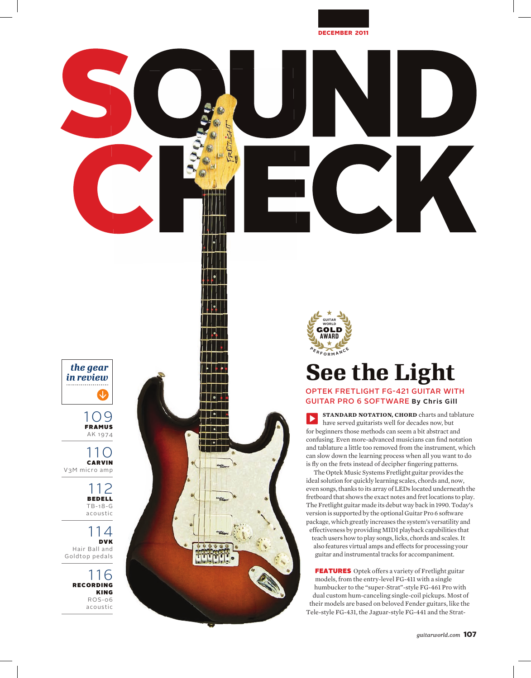

## *the gear in review*

109 FRAMUS AK 1974

∣∣∙ T 1 1 1 1 1  $\overline{\phantom{a}}$  $\Box$ 

110 CARVIN V3M micro amp

> 112 BEDELL TB-18-G acoustic

114 DVK Hair Ball and Goldtop pedals

> 116 RECORDING KING ROS-06 acoustic



## **See the Light**

## OPTEK FRETLIGHT FG-421 GUITAR WITH GUITAR PRO 6 SOFTWARE **By Chris Gill**

**STANDARD NOTATION, CHORD** charts and tablature  $\blacktriangleright$ have served guitarists well for decades now, but for beginners those methods can seem a bit abstract and confusing. Even more-advanced musicians can find notation and tablature a little too removed from the instrument, which can slow down the learning process when all you want to do is fly on the frets instead of decipher fingering patterns.

The Optek Music Systems Fretlight guitar provides the ideal solution for quickly learning scales, chords and, now, even songs, thanks to its array of LEDs located underneath the fretboard that shows the exact notes and fret locations to play. The Fretlight guitar made its debut way back in 1990. Today's version is supported by the optional Guitar Pro 6 software package, which greatly increases the system's versatility and effectiveness by providing MIDI playback capabilities that teach users how to play songs, licks, chords and scales. It also features virtual amps and effects for processing your guitar and instrumental tracks for accompaniment.

FEATURES Optek offers a variety of Fretlight guitar models, from the entry-level FG-411 with a single humbucker to the "super-Strat"-style FG-461 Pro with dual custom hum-canceling single-coil pickups. Most of their models are based on beloved Fender guitars, like the Tele-style FG-431, the Jaguar-style FG-441 and the Strat-